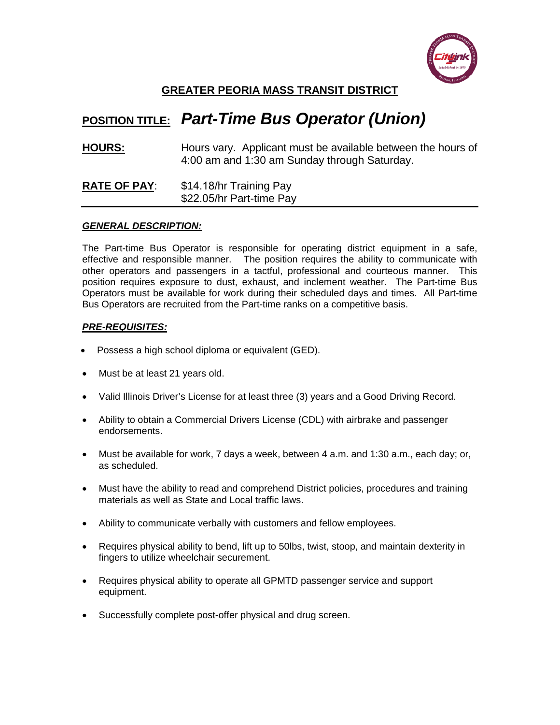

## **GREATER PEORIA MASS TRANSIT DISTRICT**

# **POSITION TITLE:** *Part-Time Bus Operator (Union)*

**HOURS:** Hours vary. Applicant must be available between the hours of 4:00 am and 1:30 am Sunday through Saturday.

#### **RATE OF PAY**: \$14.18/hr Training Pay \$22.05/hr Part-time Pay

#### *GENERAL DESCRIPTION:*

The Part-time Bus Operator is responsible for operating district equipment in a safe, effective and responsible manner. The position requires the ability to communicate with other operators and passengers in a tactful, professional and courteous manner. This position requires exposure to dust, exhaust, and inclement weather. The Part-time Bus Operators must be available for work during their scheduled days and times. All Part-time Bus Operators are recruited from the Part-time ranks on a competitive basis.

### *PRE-REQUISITES:*

- Possess a high school diploma or equivalent (GED).
- Must be at least 21 years old.
- Valid Illinois Driver's License for at least three (3) years and a Good Driving Record.
- Ability to obtain a Commercial Drivers License (CDL) with airbrake and passenger endorsements.
- Must be available for work, 7 days a week, between 4 a.m. and 1:30 a.m., each day; or, as scheduled.
- Must have the ability to read and comprehend District policies, procedures and training materials as well as State and Local traffic laws.
- Ability to communicate verbally with customers and fellow employees.
- Requires physical ability to bend, lift up to 50lbs, twist, stoop, and maintain dexterity in fingers to utilize wheelchair securement.
- Requires physical ability to operate all GPMTD passenger service and support equipment.
- Successfully complete post-offer physical and drug screen.